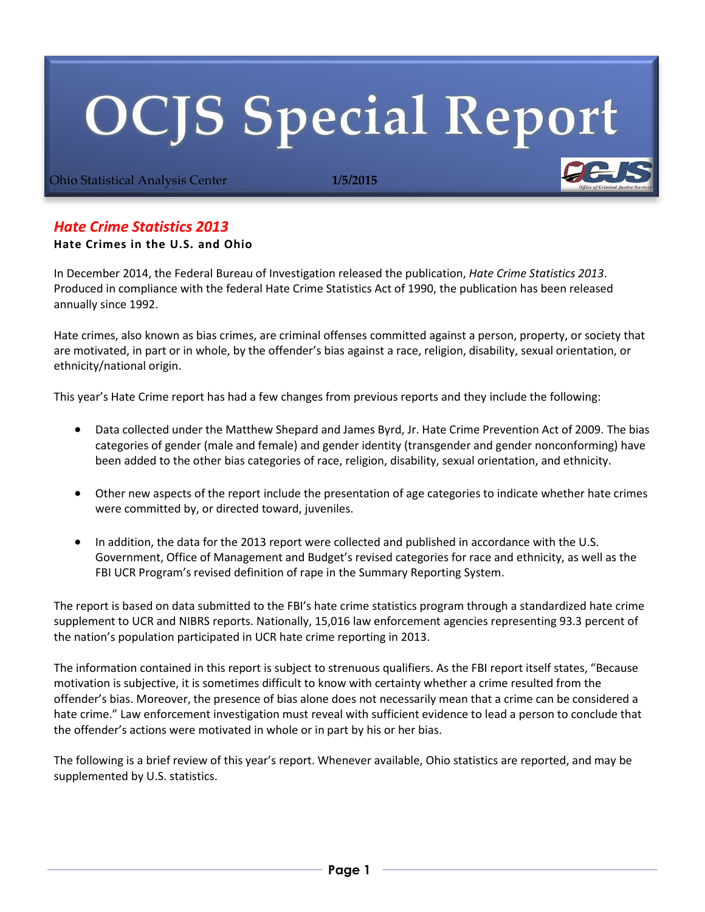# **OCJS Special Report**

Ohio Statistical Analysis Center **1/5/2015**

# *Hate Crime Statistics 2013*

# **Hate Crimes in the U.S. and Ohio**

In December 2014, the Federal Bureau of Investigation released the publication, *Hate Crime Statistics 2013*. Produced in compliance with the federal Hate Crime Statistics Act of 1990, the publication has been released annually since 1992.

Hate crimes, also known as bias crimes, are criminal offenses committed against a person, property, or society that are motivated, in part or in whole, by the offender's bias against a race, religion, disability, sexual orientation, or ethnicity/national origin.

This year's Hate Crime report has had a few changes from previous reports and they include the following:

- Data collected under the Matthew Shepard and James Byrd, Jr. Hate Crime Prevention Act of 2009. The bias categories of gender (male and female) and gender identity (transgender and gender nonconforming) have been added to the other bias categories of race, religion, disability, sexual orientation, and ethnicity.
- Other new aspects of the report include the presentation of age categories to indicate whether hate crimes were committed by, or directed toward, juveniles.
- In addition, the data for the 2013 report were collected and published in accordance with the U.S. Government, Office of Management and Budget's revised categories for race and ethnicity, as well as the FBI UCR Program's revised definition of rape in the Summary Reporting System.

The report is based on data submitted to the FBI's hate crime statistics program through a standardized hate crime supplement to UCR and NIBRS reports. Nationally, 15,016 law enforcement agencies representing 93.3 percent of the nation's population participated in UCR hate crime reporting in 2013.

The information contained in this report is subject to strenuous qualifiers. As the FBI report itself states, "Because motivation is subjective, it is sometimes difficult to know with certainty whether a crime resulted from the offender's bias. Moreover, the presence of bias alone does not necessarily mean that a crime can be considered a hate crime." Law enforcement investigation must reveal with sufficient evidence to lead a person to conclude that the offender's actions were motivated in whole or in part by his or her bias.

The following is a brief review of this year's report. Whenever available, Ohio statistics are reported, and may be supplemented by U.S. statistics.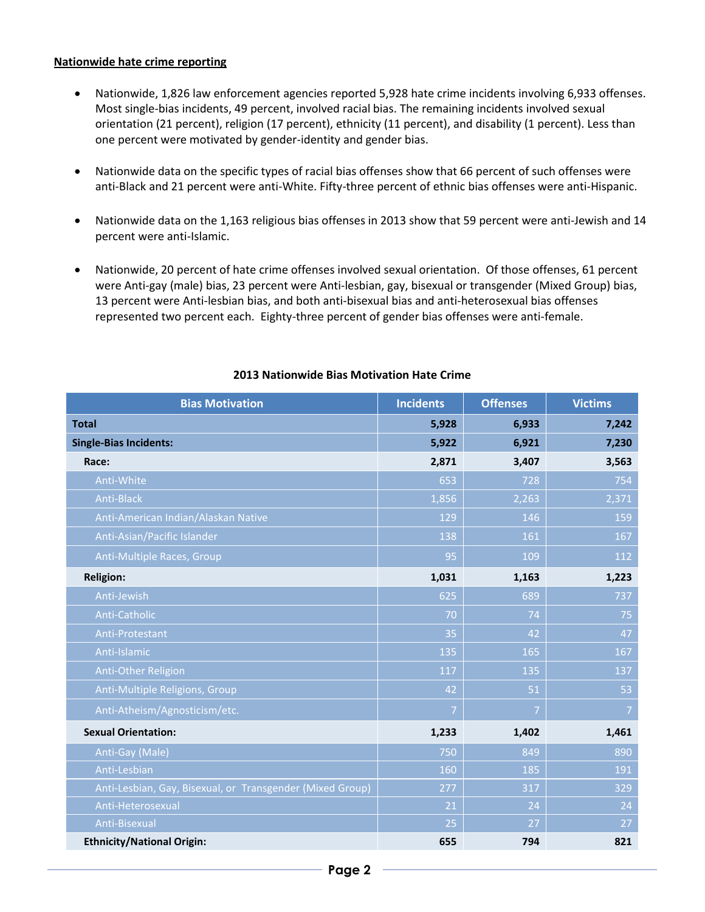### **Nationwide hate crime reporting**

- Nationwide, 1,826 law enforcement agencies reported 5,928 hate crime incidents involving 6,933 offenses. Most single-bias incidents, 49 percent, involved racial bias. The remaining incidents involved sexual orientation (21 percent), religion (17 percent), ethnicity (11 percent), and disability (1 percent). Less than one percent were motivated by gender-identity and gender bias.
- Nationwide data on the specific types of racial bias offenses show that 66 percent of such offenses were anti-Black and 21 percent were anti-White. Fifty-three percent of ethnic bias offenses were anti-Hispanic.
- Nationwide data on the 1,163 religious bias offenses in 2013 show that 59 percent were anti-Jewish and 14 percent were anti-Islamic.
- Nationwide, 20 percent of hate crime offenses involved sexual orientation. Of those offenses, 61 percent were Anti-gay (male) bias, 23 percent were Anti-lesbian, gay, bisexual or transgender (Mixed Group) bias, 13 percent were Anti-lesbian bias, and both anti-bisexual bias and anti-heterosexual bias offenses represented two percent each. Eighty-three percent of gender bias offenses were anti-female.

| <b>Bias Motivation</b>                                    | <b>Incidents</b> | <b>Offenses</b> | <b>Victims</b> |
|-----------------------------------------------------------|------------------|-----------------|----------------|
| <b>Total</b>                                              | 5,928            | 6,933           | 7,242          |
| <b>Single-Bias Incidents:</b>                             | 5,922            | 6,921           | 7,230          |
| Race:                                                     | 2,871            | 3,407           | 3,563          |
| Anti-White                                                | 653              | 728             | 754            |
| Anti-Black                                                | 1,856            | 2,263           | 2,371          |
| Anti-American Indian/Alaskan Native                       | 129              | 146             | 159            |
| Anti-Asian/Pacific Islander                               | 138              | 161             | 167            |
| Anti-Multiple Races, Group                                | 95               | 109             | 112            |
| <b>Religion:</b>                                          | 1,031            | 1,163           | 1,223          |
| Anti-Jewish                                               | 625              | 689             | 737            |
| Anti-Catholic                                             | 70               | 74              | 75             |
| Anti-Protestant                                           | 35               | 42              | 47             |
| Anti-Islamic                                              | 135              | 165             | 167            |
| Anti-Other Religion                                       | 117              | 135             | 137            |
| Anti-Multiple Religions, Group                            | 42               | 51              | 53             |
| Anti-Atheism/Agnosticism/etc.                             | $\overline{7}$   | 7               | $\overline{7}$ |
| <b>Sexual Orientation:</b>                                | 1,233            | 1,402           | 1,461          |
| Anti-Gay (Male)                                           | 750              | 849             | 890            |
| Anti-Lesbian                                              | 160              | 185             | 191            |
| Anti-Lesbian, Gay, Bisexual, or Transgender (Mixed Group) | 277              | 317             | 329            |
| Anti-Heterosexual                                         | 21               | 24              | 24             |
| Anti-Bisexual                                             | 25               | 27              | 27             |
| <b>Ethnicity/National Origin:</b>                         | 655              | 794             | 821            |

# **2013 Nationwide Bias Motivation Hate Crime**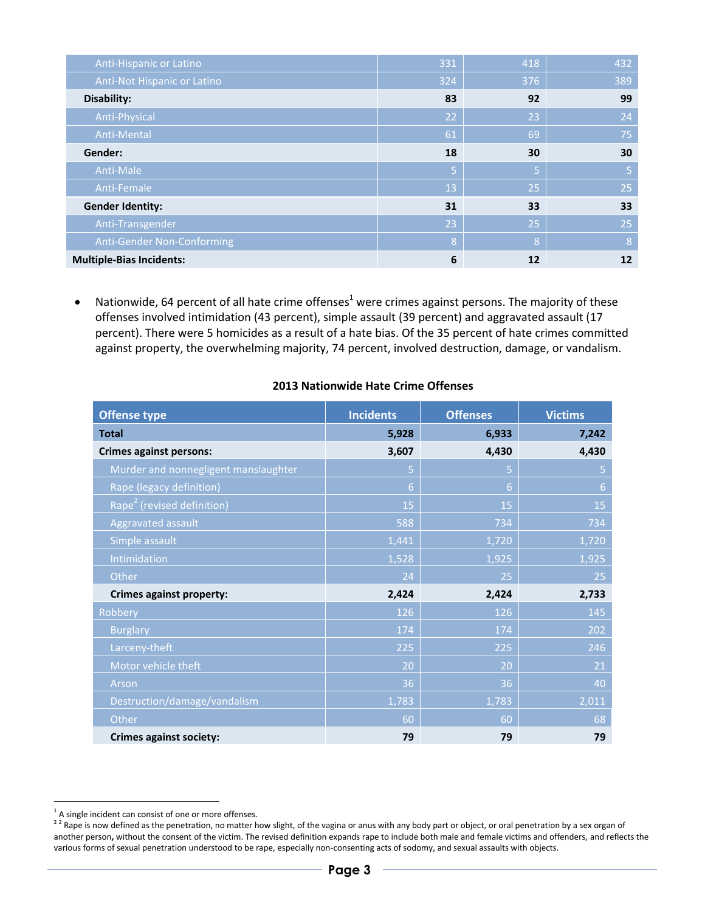| Anti-Hispanic or Latino         | 331 | 418 | 432 |
|---------------------------------|-----|-----|-----|
| Anti-Not Hispanic or Latino     | 324 | 376 | 389 |
| Disability:                     | 83  | 92  | 99  |
| Anti-Physical                   | 22  | 23  | 24  |
| Anti-Mental                     | 61  | 69  | 75  |
| Gender:                         | 18  | 30  | 30  |
| Anti-Male                       | Ι5. | 5   | 5   |
| Anti-Female                     | 13  | 25  | 25  |
| <b>Gender Identity:</b>         | 31  | 33  | 33  |
| Anti-Transgender                | 23  | 25  | 25  |
| Anti-Gender Non-Conforming      | 8   | 8   | 8   |
| <b>Multiple-Bias Incidents:</b> | 6   | 12  | 12  |

• Nationwide, 64 percent of all hate crime offenses<sup>1</sup> were crimes against persons. The majority of these offenses involved intimidation (43 percent), simple assault (39 percent) and aggravated assault (17 percent). There were 5 homicides as a result of a hate bias. Of the 35 percent of hate crimes committed against property, the overwhelming majority, 74 percent, involved destruction, damage, or vandalism.

| <b>Offense type</b>                    | <b>Incidents</b> | <b>Offenses</b> | <b>Victims</b> |
|----------------------------------------|------------------|-----------------|----------------|
| <b>Total</b>                           | 5,928            | 6,933           | 7,242          |
| <b>Crimes against persons:</b>         | 3,607            | 4,430           | 4,430          |
| Murder and nonnegligent manslaughter   | 5                | 5               | 5              |
| Rape (legacy definition)               | 6                | $6\phantom{a}$  | 6              |
| Rape <sup>2</sup> (revised definition) | 15               | 15              | 15             |
| Aggravated assault                     | 588              | 734             | 734            |
| Simple assault                         | 1,441            | 1,720           | 1,720          |
| Intimidation                           | 1,528            | 1,925           | 1,925          |
| Other                                  | 24               | 25              | 25             |
| <b>Crimes against property:</b>        | 2,424            | 2,424           | 2,733          |
| Robbery                                | 126              | 126             | 145            |
| <b>Burglary</b>                        | 174              | 174             | 202            |
| Larceny-theft                          | 225              | 225             | 246            |
| Motor vehicle theft                    | 20               | 20              | 21             |
| Arson                                  | 36               | 36              | 40             |
| Destruction/damage/vandalism           | 1,783            | 1,783           | 2,011          |
| Other                                  | 60               | 60              | 68             |
| <b>Crimes against society:</b>         | 79               | 79              | 79             |

### **2013 Nationwide Hate Crime Offenses**

-

 $1$  A single incident can consist of one or more offenses.

 $^{22}$  Rape is now defined as the penetration, no matter how slight, of the vagina or anus with any body part or object, or oral penetration by a sex organ of another person**,** without the consent of the victim. The revised definition expands rape to include both male and female victims and offenders, and reflects the various forms of sexual penetration understood to be rape, especially non-consenting acts of sodomy, and sexual assaults with objects.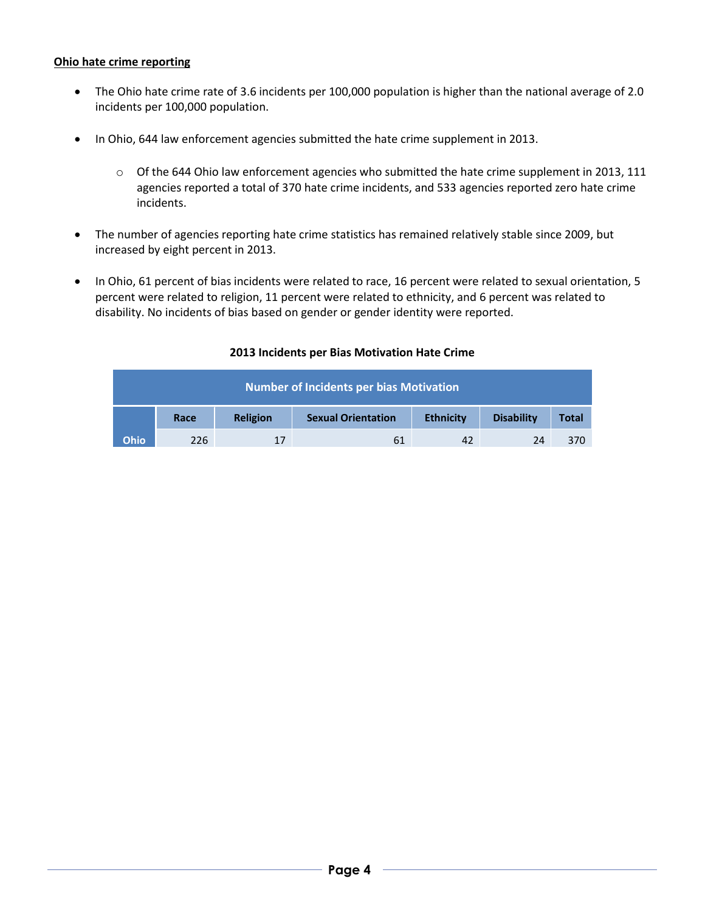# **Ohio hate crime reporting**

- The Ohio hate crime rate of 3.6 incidents per 100,000 population is higher than the national average of 2.0 incidents per 100,000 population.
- In Ohio, 644 law enforcement agencies submitted the hate crime supplement in 2013.
	- o Of the 644 Ohio law enforcement agencies who submitted the hate crime supplement in 2013, 111 agencies reported a total of 370 hate crime incidents, and 533 agencies reported zero hate crime incidents.
- The number of agencies reporting hate crime statistics has remained relatively stable since 2009, but increased by eight percent in 2013.
- In Ohio, 61 percent of bias incidents were related to race, 16 percent were related to sexual orientation, 5 percent were related to religion, 11 percent were related to ethnicity, and 6 percent was related to disability. No incidents of bias based on gender or gender identity were reported.

| <b>Number of Incidents per bias Motivation</b> |      |                 |                           |                  |                   |              |
|------------------------------------------------|------|-----------------|---------------------------|------------------|-------------------|--------------|
|                                                | Race | <b>Religion</b> | <b>Sexual Orientation</b> | <b>Ethnicity</b> | <b>Disability</b> | <b>Total</b> |
| <b>Ohio</b>                                    | 226  | 17              | 61                        | 42               | 24                | 370          |

## **2013 Incidents per Bias Motivation Hate Crime**